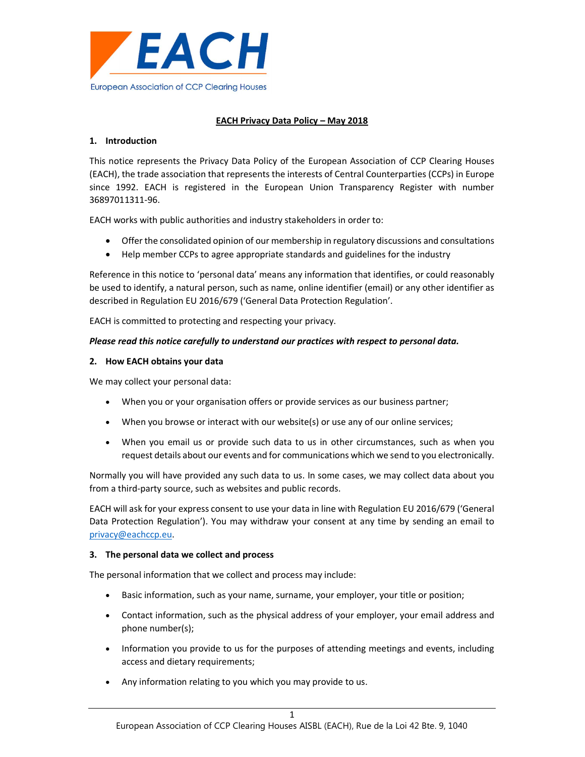

# EACH Privacy Data Policy – May 2018

## 1. Introduction

This notice represents the Privacy Data Policy of the European Association of CCP Clearing Houses (EACH), the trade association that represents the interests of Central Counterparties (CCPs) in Europe since 1992. EACH is registered in the European Union Transparency Register with number 36897011311-96.

EACH works with public authorities and industry stakeholders in order to:

- Offer the consolidated opinion of our membership in regulatory discussions and consultations
- Help member CCPs to agree appropriate standards and guidelines for the industry

Reference in this notice to 'personal data' means any information that identifies, or could reasonably be used to identify, a natural person, such as name, online identifier (email) or any other identifier as described in Regulation EU 2016/679 ('General Data Protection Regulation'.

EACH is committed to protecting and respecting your privacy.

## Please read this notice carefully to understand our practices with respect to personal data.

#### 2. How EACH obtains your data

We may collect your personal data:

- When you or your organisation offers or provide services as our business partner;
- When you browse or interact with our website(s) or use any of our online services;
- When you email us or provide such data to us in other circumstances, such as when you request details about our events and for communications which we send to you electronically.

Normally you will have provided any such data to us. In some cases, we may collect data about you from a third-party source, such as websites and public records.

EACH will ask for your express consent to use your data in line with Regulation EU 2016/679 ('General Data Protection Regulation'). You may withdraw your consent at any time by sending an email to privacy@eachccp.eu.

#### 3. The personal data we collect and process

The personal information that we collect and process may include:

- Basic information, such as your name, surname, your employer, your title or position;
- Contact information, such as the physical address of your employer, your email address and phone number(s);
- Information you provide to us for the purposes of attending meetings and events, including access and dietary requirements;
- Any information relating to you which you may provide to us.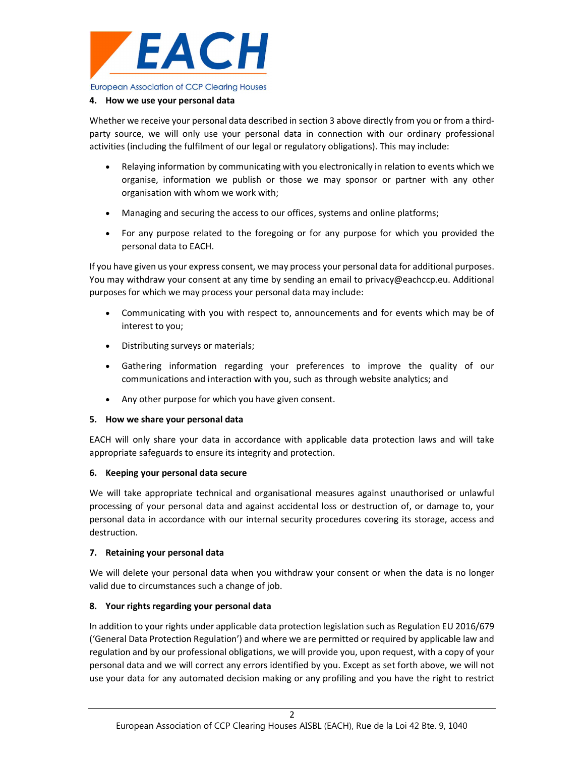

### 4. How we use your personal data

Whether we receive your personal data described in section 3 above directly from you or from a thirdparty source, we will only use your personal data in connection with our ordinary professional activities (including the fulfilment of our legal or regulatory obligations). This may include:

- Relaying information by communicating with you electronically in relation to events which we organise, information we publish or those we may sponsor or partner with any other organisation with whom we work with;
- Managing and securing the access to our offices, systems and online platforms;
- For any purpose related to the foregoing or for any purpose for which you provided the personal data to EACH.

If you have given us your express consent, we may process your personal data for additional purposes. You may withdraw your consent at any time by sending an email to privacy@eachccp.eu. Additional purposes for which we may process your personal data may include:

- Communicating with you with respect to, announcements and for events which may be of interest to you;
- Distributing surveys or materials;
- Gathering information regarding your preferences to improve the quality of our communications and interaction with you, such as through website analytics; and
- Any other purpose for which you have given consent.

## 5. How we share your personal data

EACH will only share your data in accordance with applicable data protection laws and will take appropriate safeguards to ensure its integrity and protection.

## 6. Keeping your personal data secure

We will take appropriate technical and organisational measures against unauthorised or unlawful processing of your personal data and against accidental loss or destruction of, or damage to, your personal data in accordance with our internal security procedures covering its storage, access and destruction.

## 7. Retaining your personal data

We will delete your personal data when you withdraw your consent or when the data is no longer valid due to circumstances such a change of job.

## 8. Your rights regarding your personal data

In addition to your rights under applicable data protection legislation such as Regulation EU 2016/679 ('General Data Protection Regulation') and where we are permitted or required by applicable law and regulation and by our professional obligations, we will provide you, upon request, with a copy of your personal data and we will correct any errors identified by you. Except as set forth above, we will not use your data for any automated decision making or any profiling and you have the right to restrict